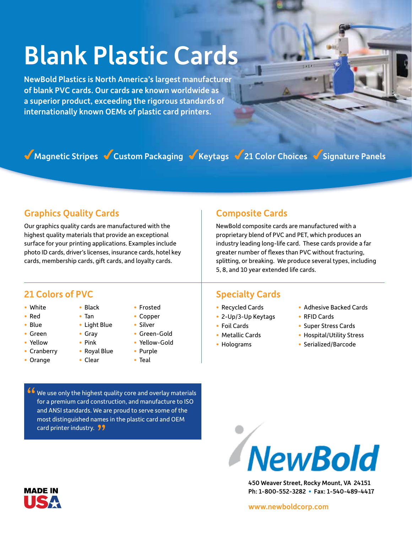# Blank Plastic Cards

NewBold Plastics is North America's largest manufacturer of blank PVC cards. Our cards are known worldwide as a superior product, exceeding the rigorous standards of internationally known OEMs of plastic card printers.

Magnetic Stripes Custom Packaging Keytags 21 Color Choices Signature Panels

### Graphics Quality Cards

Our graphics quality cards are manufactured with the highest quality materials that provide an exceptional surface for your printing applications. Examples include photo ID cards, driver's licenses, insurance cards, hotel key cards, membership cards, gift cards, and loyalty cards.

> • Black • Tan • Light Blue • Gray • Pink • Royal Blue • Clear

### Composite Cards

NewBold composite cards are manufactured with a proprietary blend of PVC and PET, which produces an industry leading long-life card. These cards provide a far greater number of flexes than PVC without fracturing, splitting, or breaking. We produce several types, including 5, 8, and 10 year extended life cards.

### 21 Colors of PVC Specialty Cards

- White
- Red
- Blue
- Green
- Yellow
- Cranberry
- Orange

"

- Frosted
	- Copper
	- Silver • Green-Gold
	- Yellow-Gold
	- Purple
	- Teal

We use only the highest quality core and overlay materials for a premium card construction, and manufacture to ISO and ANSI standards. We are proud to serve some of the most distinguished names in the plastic card and OEM

- Recycled Cards
- 2-Up/3-Up Keytags
- Foil Cards
- Metallic Cards
- Holograms
- Adhesive Backed Cards
- RFID Cards
- Super Stress Cards
- Hospital/Utility Stress
- Serialized/Barcode

NewBold

450 Weaver Street, Rocky Mount, VA 24151 Ph: 1-800-552-3282 • Fax: 1-540-489-4417

**MADE IN** 

card printer industry. 99

### www.newboldcorp.com